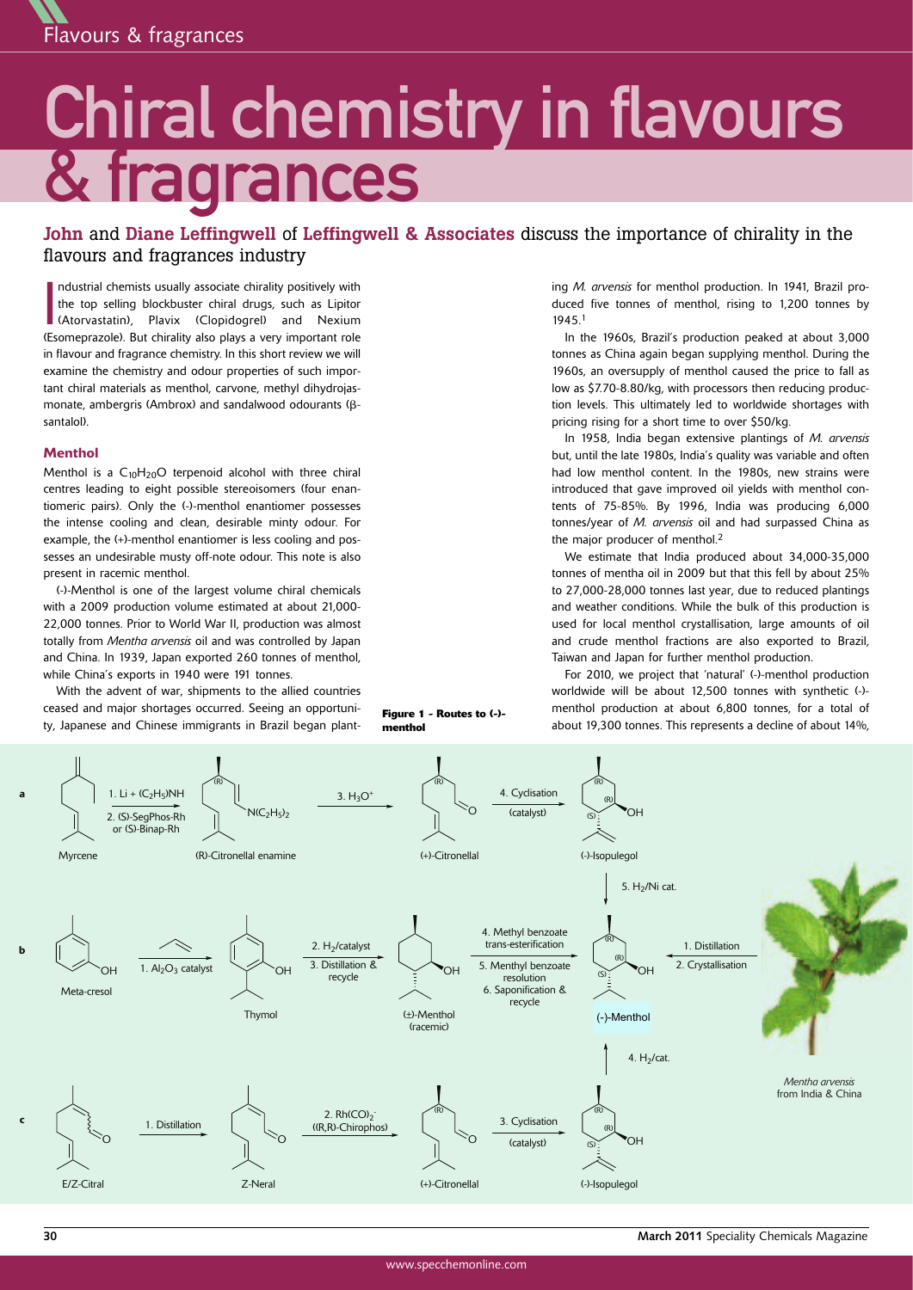

# Chiral chemistry in flavours & fragrances

**John** and **Diane Leffingwell** of **Leffingwell & Associates** discuss the importance of chirality in the flavours and fragrances industry

Industrial chemists usually associate chirality positively with<br>the top selling blockbuster chiral drugs, such as Lipitor<br>(Atorvastatin), Plavix (Clopidogrel) and Nexium<br>(Esomeprazole). But chirality also plays a very impo ndustrial chemists usually associate chirality positively with the top selling blockbuster chiral drugs, such as Lipitor (Atorvastatin), Plavix (Clopidogrel) and Nexium in flavour and fragrance chemistry. In this short review we will examine the chemistry and odour properties of such important chiral materials as menthol, carvone, methyl dihydrojasmonate, ambergris (Ambrox) and sandalwood odourants (βsantalol).

### **Menthol**

Menthol is a  $C_{10}H_{20}O$  terpenoid alcohol with three chiral centres leading to eight possible stereoisomers (four enantiomeric pairs). Only the (-)-menthol enantiomer possesses the intense cooling and clean, desirable minty odour. For example, the (+)-menthol enantiomer is less cooling and possesses an undesirable musty off-note odour. This note is also present in racemic menthol.

(-)-Menthol is one of the largest volume chiral chemicals with a 2009 production volume estimated at about 21,000- 22,000 tonnes. Prior to World War II, production was almost totally from *Mentha arvensis* oil and was controlled by Japan and China. In 1939, Japan exported 260 tonnes of menthol, while China's exports in 1940 were 191 tonnes.

With the advent of war, shipments to the allied countries ceased and major shortages occurred. Seeing an opportunity, Japanese and Chinese immigrants in Brazil began plant-

**Figure 1 - Routes to (-) menthol**

ing *M. arvensis* for menthol production. In 1941, Brazil produced five tonnes of menthol, rising to 1,200 tonnes by 1945. 1

In the 1960s, Brazil's production peaked at about 3,000 tonnes as China again began supplying menthol. During the 1960s, an oversupply of menthol caused the price to fall as low as \$7.70-8.80/kg, with processors then reducing production levels. This ultimately led to worldwide shortages with pricing rising for a short time to over \$50/kg.

In 1958, India began extensive plantings of *M. arvensis* but, until the late 1980s, India's quality was variable and often had low menthol content. In the 1980s, new strains were introduced that gave improved oil yields with menthol contents of 75-85%. By 1996, India was producing 6,000 tonnes/year of *M. arvensis* oil and had surpassed China as the major producer of menthol.<sup>2</sup>

We estimate that India produced about 34,000-35,000 tonnes of mentha oil in 2009 but that this fell by about 25% to 27,000-28,000 tonnes last year, due to reduced plantings and weather conditions. While the bulk of this production is used for local menthol crystallisation, large amounts of oil and crude menthol fractions are also exported to Brazil, Taiwan and Japan for further menthol production.

For 2010, we project that 'natural' (-)-menthol production worldwide will be about 12,500 tonnes with synthetic (-) menthol production at about 6,800 tonnes, for a total of about 19,300 tonnes. This represents a decline of about 14%,

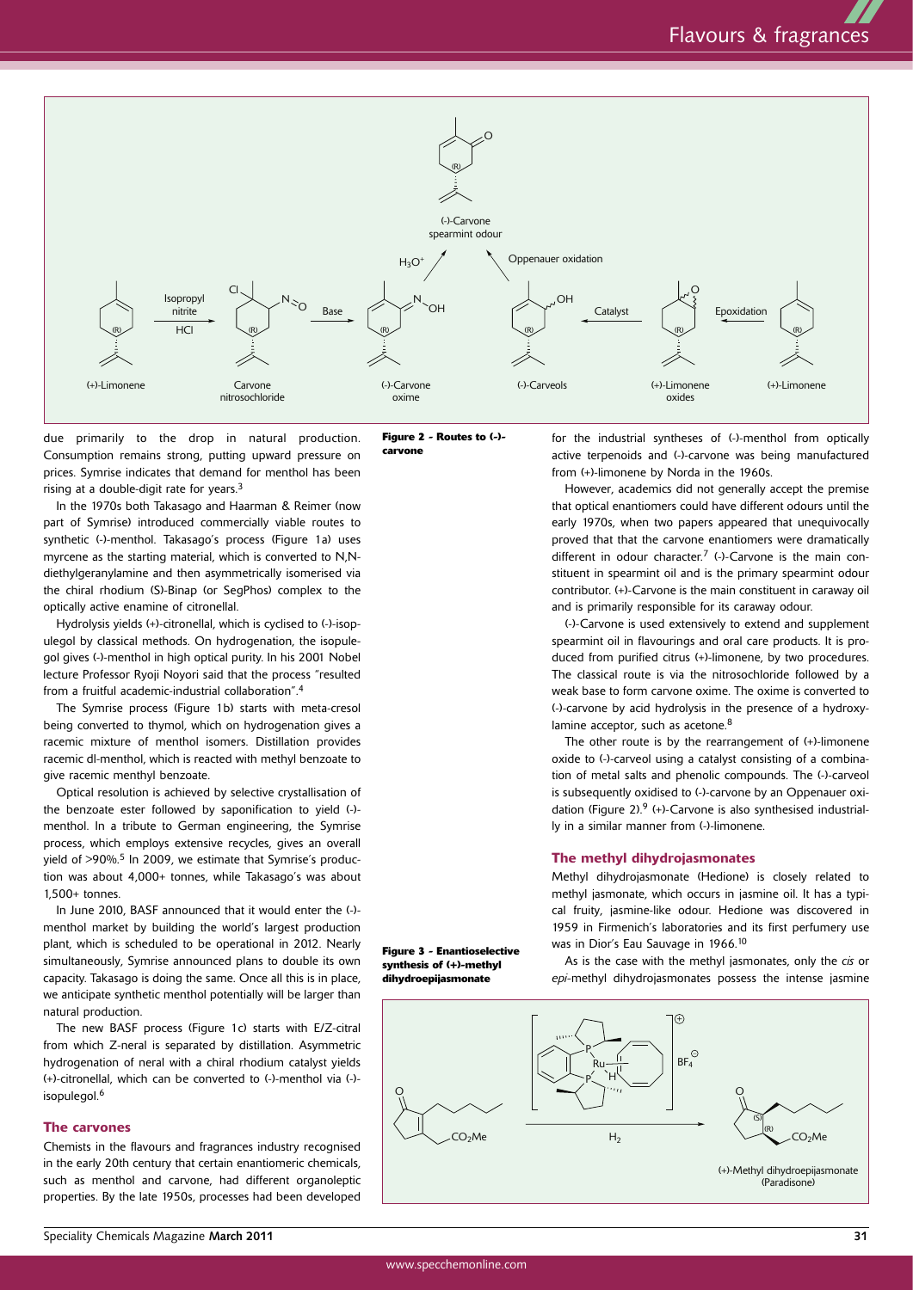

due primarily to the drop in natural production. Consumption remains strong, putting upward pressure on prices. Symrise indicates that demand for menthol has been rising at a double-digit rate for years.<sup>3</sup>

In the 1970s both Takasago and Haarman & Reimer (now part of Symrise) introduced commercially viable routes to synthetic (-)-menthol. Takasago's process (Figure 1a) uses myrcene as the starting material, which is converted to N,Ndiethylgeranylamine and then asymmetrically isomerised via the chiral rhodium (S)-Binap (or SegPhos) complex to the optically active enamine of citronellal.

Hydrolysis yields (+)-citronellal, which is cyclised to (-)-isopulegol by classical methods. On hydrogenation, the isopulegol gives (-)-menthol in high optical purity. In his 2001 Nobel lecture Professor Ryoji Noyori said that the process "resulted from a fruitful academic-industrial collaboration". 4

The Symrise process (Figure 1b) starts with meta-cresol being converted to thymol, which on hydrogenation gives a racemic mixture of menthol isomers. Distillation provides racemic dl-menthol, which is reacted with methyl benzoate to give racemic menthyl benzoate.

Optical resolution is achieved by selective crystallisation of the benzoate ester followed by saponification to yield (-) menthol. In a tribute to German engineering, the Symrise process, which employs extensive recycles, gives an overall yield of >90%.<sup>5</sup> In 2009, we estimate that Symrise's production was about 4,000+ tonnes, while Takasago's was about 1,500+ tonnes.

In June 2010, BASF announced that it would enter the (-) menthol market by building the world's largest production plant, which is scheduled to be operational in 2012. Nearly simultaneously, Symrise announced plans to double its own capacity. Takasago is doing the same. Once all this is in place, we anticipate synthetic menthol potentially will be larger than natural production.

The new BASF process (Figure 1c) starts with E/Z-citral from which Z-neral is separated by distillation. Asymmetric hydrogenation of neral with a chiral rhodium catalyst yields (+)-citronellal, which can be converted to (-)-menthol via (-) isopulegol. 6

#### **The carvones**

Chemists in the flavours and fragrances industry recognised in the early 20th century that certain enantiomeric chemicals, such as menthol and carvone, had different organoleptic properties. By the late 1950s, processes had been developed **Figure 2 - Routes to (-) carvone**

for the industrial syntheses of (-)-menthol from optically active terpenoids and (-)-carvone was being manufactured from (+)-limonene by Norda in the 1960s.

However, academics did not generally accept the premise that optical enantiomers could have different odours until the early 1970s, when two papers appeared that unequivocally proved that that the carvone enantiomers were dramatically different in odour character.<sup>7</sup> (-)-Carvone is the main constituent in spearmint oil and is the primary spearmint odour contributor. (+)-Carvone is the main constituent in caraway oil and is primarily responsible for its caraway odour.

(-)-Carvone is used extensively to extend and supplement spearmint oil in flavourings and oral care products. It is produced from purified citrus (+)-limonene, by two procedures. The classical route is via the nitrosochloride followed by a weak base to form carvone oxime. The oxime is converted to (-)-carvone by acid hydrolysis in the presence of a hydroxylamine acceptor, such as acetone.<sup>8</sup>

The other route is by the rearrangement of (+)-limonene oxide to (-)-carveol using a catalyst consisting of a combination of metal salts and phenolic compounds. The (-)-carveol is subsequently oxidised to (-)-carvone by an Oppenauer oxidation (Figure 2). <sup>9</sup> (+)-Carvone is also synthesised industrially in a similar manner from (-)-limonene.

#### **The methyl dihydrojasmonates**

Methyl dihydrojasmonate (Hedione) is closely related to methyl jasmonate, which occurs in jasmine oil. It has a typical fruity, jasmine-like odour. Hedione was discovered in 1959 in Firmenich's laboratories and its first perfumery use was in Dior's Eau Sauvage in 1966. 10

As is the case with the methyl jasmonates, only the *cis* or *epi-*methyl dihydrojasmonates possess the intense jasmine

**Figure 3 - Enantioselective synthesis of (+)-methyl dihydroepijasmonate**

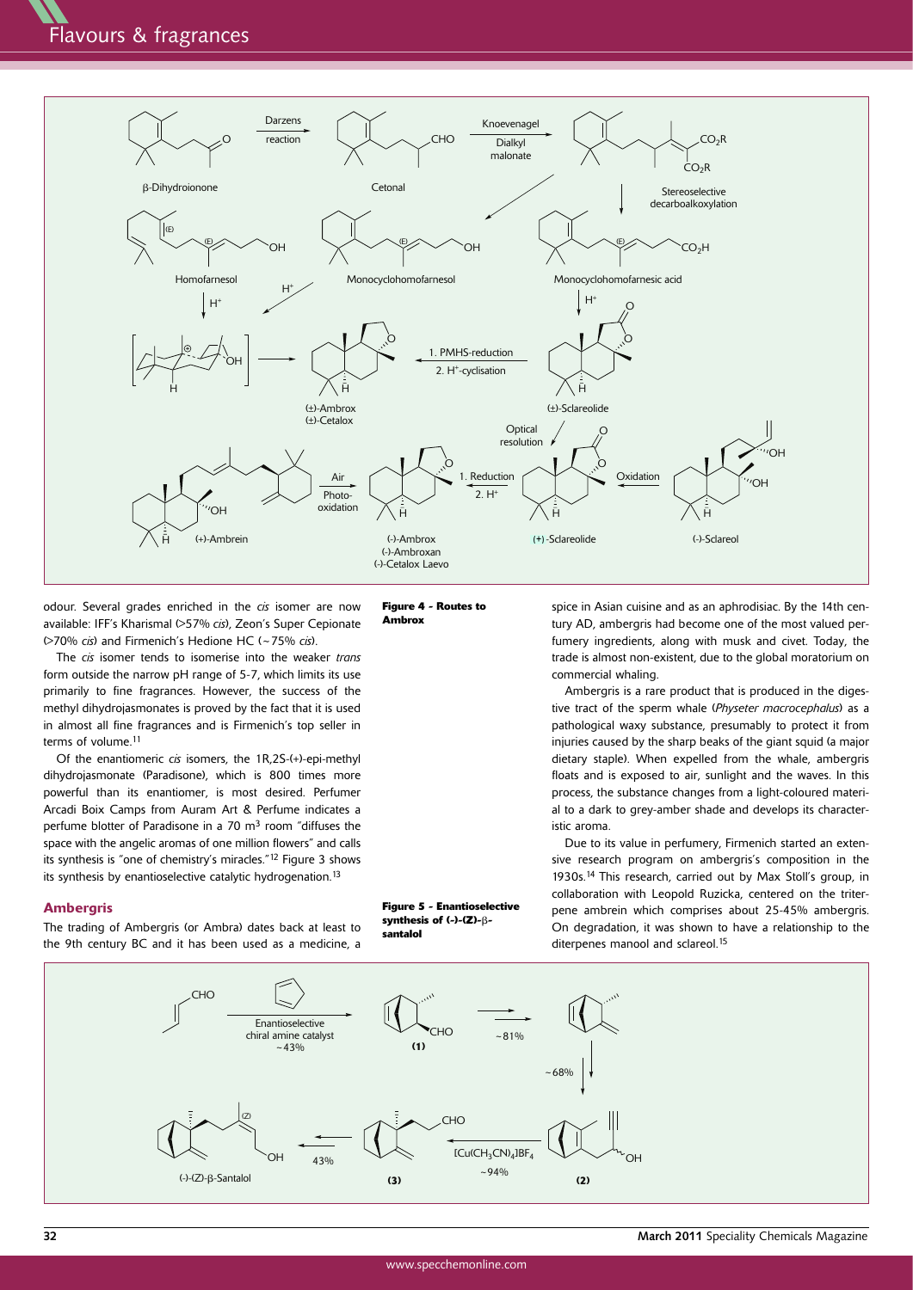

odour. Several grades enriched in the *cis* isomer are now available: IFF's Kharismal (>57% *cis*), Zeon's Super Cepionate (>70% *cis*) and Firmenich's Hedione HC (~75% *cis*).

The *cis* isomer tends to isomerise into the weaker *trans* form outside the narrow pH range of 5-7, which limits its use primarily to fine fragrances. However, the success of the methyl dihydrojasmonates is proved by the fact that it is used in almost all fine fragrances and is Firmenich's top seller in terms of volume. 11

Of the enantiomeric *cis* isomers, the 1R,2S-(+)-epi-methyl dihydrojasmonate (Paradisone), which is 800 times more powerful than its enantiomer, is most desired. Perfumer Arcadi Boix Camps from Auram Art & Perfume indicates a perfume blotter of Paradisone in a 70 m<sup>3</sup> room "diffuses the space with the angelic aromas of one million flowers" and calls its synthesis is "one of chemistry's miracles."<sup>12</sup> Figure 3 shows its synthesis by enantioselective catalytic hydrogenation.<sup>13</sup>

## **Ambergris**

The trading of Ambergris (or Ambra) dates back at least to the 9th century BC and it has been used as a medicine, a



**Figure 5 - Enantioselective synthesis of (-)-(Z)-**β**santalol**

spice in Asian cuisine and as an aphrodisiac. By the 14th century AD, ambergris had become one of the most valued perfumery ingredients, along with musk and civet. Today, the trade is almost non-existent, due to the global moratorium on commercial whaling.

Ambergris is a rare product that is produced in the digestive tract of the sperm whale (*Physeter macrocephalus*) as a pathological waxy substance, presumably to protect it from injuries caused by the sharp beaks of the giant squid (a major dietary staple). When expelled from the whale, ambergris floats and is exposed to air, sunlight and the waves. In this process, the substance changes from a light-coloured material to a dark to grey-amber shade and develops its characteristic aroma.

Due to its value in perfumery, Firmenich started an extensive research program on ambergris's composition in the 1930s. <sup>14</sup> This research, carried out by Max Stoll's group, in collaboration with Leopold Ruzicka, centered on the triterpene ambrein which comprises about 25-45% ambergris. On degradation, it was shown to have a relationship to the diterpenes manool and sclareol. 15

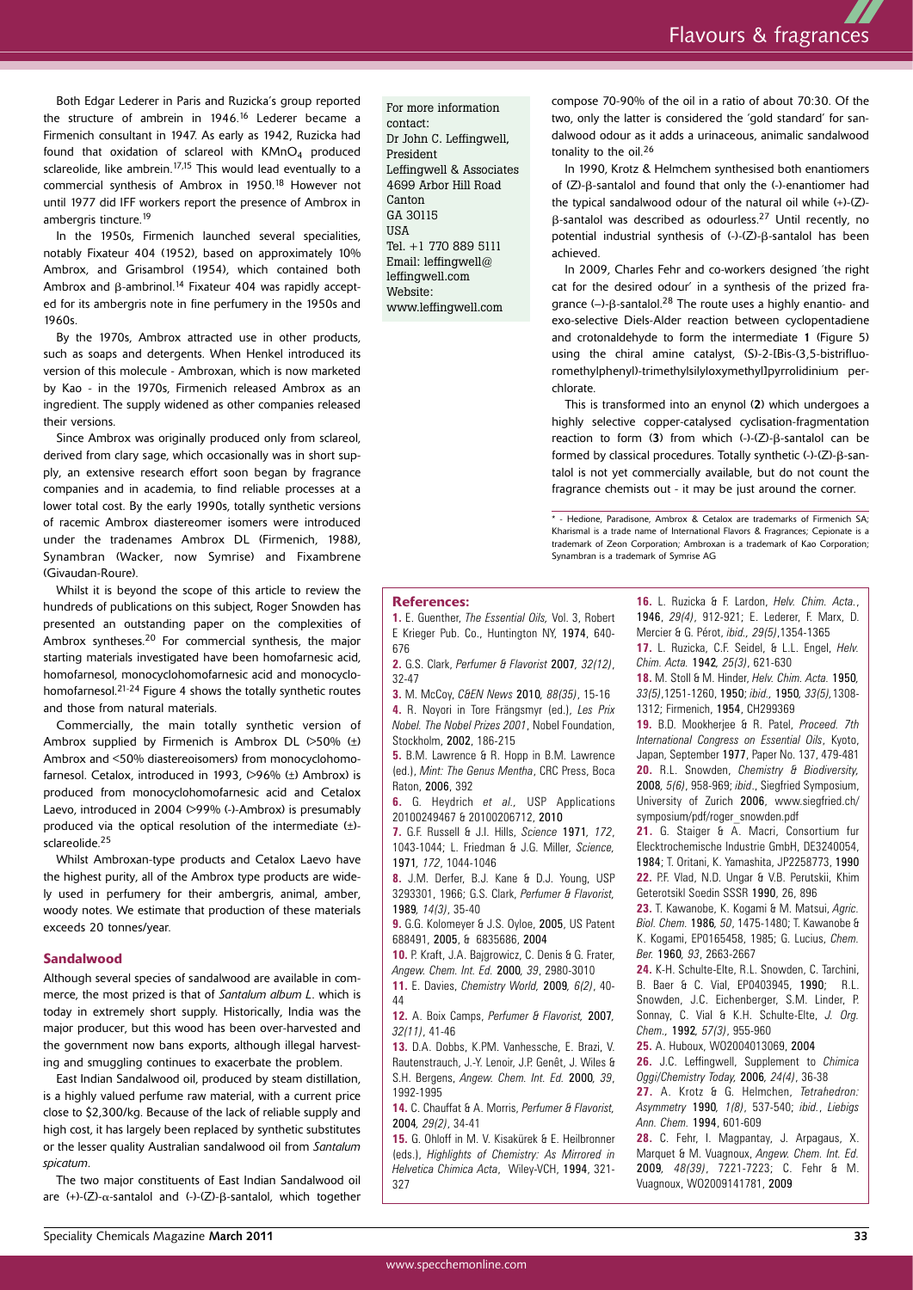Both Edgar Lederer in Paris and Ruzicka's group reported the structure of ambrein in 1946. <sup>16</sup> Lederer became a Firmenich consultant in 1947. As early as 1942, Ruzicka had found that oxidation of sclareol with  $KMnO<sub>4</sub>$  produced sclareolide, like ambrein.<sup>17,15</sup> This would lead eventually to a commercial synthesis of Ambrox in 1950. <sup>18</sup> However not until 1977 did IFF workers report the presence of Ambrox in ambergris tincture. 19

In the 1950s, Firmenich launched several specialities, notably Fixateur 404 (1952), based on approximately 10% Ambrox, and Grisambrol (1954), which contained both Ambrox and β-ambrinol. <sup>14</sup> Fixateur 404 was rapidly accepted for its ambergris note in fine perfumery in the 1950s and 1960s.

By the 1970s, Ambrox attracted use in other products, such as soaps and detergents. When Henkel introduced its version of this molecule - Ambroxan, which is now marketed by Kao - in the 1970s, Firmenich released Ambrox as an ingredient. The supply widened as other companies released their versions.

Since Ambrox was originally produced only from sclareol, derived from clary sage, which occasionally was in short supply, an extensive research effort soon began by fragrance companies and in academia, to find reliable processes at a lower total cost. By the early 1990s, totally synthetic versions of racemic Ambrox diastereomer isomers were introduced under the tradenames Ambrox DL (Firmenich, 1988), Synambran (Wacker, now Symrise) and Fixambrene (Givaudan-Roure).

Whilst it is beyond the scope of this article to review the hundreds of publications on this subject, Roger Snowden has presented an outstanding paper on the complexities of Ambrox syntheses. <sup>20</sup> For commercial synthesis, the major starting materials investigated have been homofarnesic acid, homofarnesol, monocyclohomofarnesic acid and monocyclohomofarnesol.<sup>21-24</sup> Figure 4 shows the totally synthetic routes and those from natural materials.

Commercially, the main totally synthetic version of Ambrox supplied by Firmenich is Ambrox DL  $(>50\%$  ( $\pm$ ) Ambrox and <50% diastereoisomers) from monocyclohomofarnesol. Cetalox, introduced in 1993, (>96% (±) Ambrox) is produced from monocyclohomofarnesic acid and Cetalox Laevo, introduced in 2004 (>99% (-)-Ambrox) is presumably produced via the optical resolution of the intermediate (±) sclareolide. 25

Whilst Ambroxan-type products and Cetalox Laevo have the highest purity, all of the Ambrox type products are widely used in perfumery for their ambergris, animal, amber, woody notes. We estimate that production of these materials exceeds 20 tonnes/year.

## **Sandalwood**

Although several species of sandalwood are available in commerce, the most prized is that of *Santalum album L*. which is today in extremely short supply. Historically, India was the major producer, but this wood has been over-harvested and the government now bans exports, although illegal harvesting and smuggling continues to exacerbate the problem.

East Indian Sandalwood oil, produced by steam distillation, is a highly valued perfume raw material, with a current price close to \$2,300/kg. Because of the lack of reliable supply and high cost, it has largely been replaced by synthetic substitutes or the lesser quality Australian sandalwood oil from *Santalum spicatum*.

The two major constituents of East Indian Sandalwood oil are (+)-(Z)-α-santalol and (-)-(Z)-β-santalol, which together For more information contact: Dr John C. Leffingwell, President Leffingwell & Associates 4699 Arbor Hill Road Canton GA 30115 **IISA** Tel. +1 770 889 5111 Email: leffingwell@ leffingwell.com Website: www.leffingwell.com

compose 70-90% of the oil in a ratio of about 70:30. Of the two, only the latter is considered the 'gold standard' for sandalwood odour as it adds a urinaceous, animalic sandalwood tonality to the oil. 26

In 1990, Krotz & Helmchem synthesised both enantiomers of (Z)-β-santalol and found that only the (-)-enantiomer had the typical sandalwood odour of the natural oil while (+)-(Z) β-santalol was described as odourless. <sup>27</sup> Until recently, no potential industrial synthesis of (-)-(Z)-β-santalol has been achieved.

In 2009, Charles Fehr and co-workers designed 'the right cat for the desired odour' in a synthesis of the prized fragrance (–)-β-santalol.<sup>28</sup> The route uses a highly enantio- and exo-selective Diels-Alder reaction between cyclopentadiene and crotonaldehyde to form the intermediate 1 (Figure 5) using the chiral amine catalyst, (S)-2-[Bis-(3,5-bistrifluoromethylphenyl)-trimethylsilyloxymethyl]pyrrolidinium perchlorate.

This is transformed into an enynol (2) which undergoes a highly selective copper-catalysed cyclisation-fragmentation reaction to form (3) from which (-)-(Z)-β-santalol can be formed by classical procedures. Totally synthetic (-)-(Z)-β-santalol is not yet commercially available, but do not count the fragrance chemists out - it may be just around the corner.

\* - Hedione, Paradisone, Ambrox & Cetalox are trademarks of Firmenich SA; Kharismal is a trade name of International Flavors & Fragrances; Cepionate is a trademark of Zeon Corporation; Ambroxan is a trademark of Kao Corporation; Synambran is a trademark of Symrise AG

#### **References:**

**1.** E. Guenther, *The Essential Oils,* Vol. 3, Robert E Krieger Pub. Co., Huntington NY, 1974, 640- 676

**2.** G.S. Clark, *Perfumer & Flavorist* 2007*, 32(12)*, 32-47

**3.** M. McCoy, *C&EN News* 2010*, 88(35)*, 15-16 **4.** R. Noyori in Tore Frängsmyr (ed.), *Les Prix Nobel. The Nobel Prizes 2001*, Nobel Foundation, Stockholm, 2002, 186-215

**5.** B.M. Lawrence & R. Hopp in B.M. Lawrence (ed.), *Mint: The Genus Mentha*, CRC Press, Boca Raton, 2006, 392

**6.** G. Heydrich *et al.,* USP Applications 20100249467 & 20100206712, 2010

**7.** G.F. Russell & J.I. Hills, *Science* 1971*, 172*, 1043-1044; L. Friedman & J.G. Miller, *Science,* 1971*, 172*, 1044-1046

**8.** J.M. Derfer, B.J. Kane & D.J. Young, USP 3293301, 1966; G.S. Clark, *Perfumer & Flavorist,* 1989*, 14(3)*, 35-40

**9.** G.G. Kolomeyer & J.S. Oyloe, 2005, US Patent 688491, 2005, & 6835686, 2004

**10.** P. Kraft, J.A. Bajgrowicz, C. Denis & G. Frater, *Angew. Chem. Int. Ed.* 2000*, 39*, 2980-3010

**11.** E. Davies, *Chemistry World,* 2009*, 6(2)*, 40- 44

**12.** A. Boix Camps, *Perfumer & Flavorist,* 2007*, 32(11)*, 41-46

**13.** D.A. Dobbs, K.PM. Vanhessche, E. Brazi, V. Rautenstrauch, J.-Y. Lenoir, J.P. Genêt, J. Wiles & S.H. Bergens, *Angew. Chem. Int. Ed.* 2000*, 39*, 1992-1995

**14.** C. Chauffat & A. Morris, *Perfumer & Flavorist,* 2004*, 29(2)*, 34-41

**15.** G. Ohloff in M. V. Kisakürek & E. Heilbronner (eds.), *Highlights of Chemistry: As Mirrored in Helvetica Chimica Acta*, Wiley-VCH, 1994, 321- 327

**16.** L. Ruzicka & F. Lardon, *Helv. Chim. Acta.*, 1946, *29(4)*, 912-921; E. Lederer, F. Marx, D. Mercier & G. Pérot, *ibid., 29(5)*,1354-1365

**17.** L. Ruzicka, C.F. Seidel, & L.L. Engel, *Helv. Chim. Acta.* 1942*, 25(3)*, 621-630

**18.** M. Stoll & M. Hinder, *Helv. Chim. Acta.* 1950*, 33(5)*,1251-1260, 1950; *ibid.,* 1950*, 33(5),*1308- 1312; Firmenich, 1954, CH299369

**19.** B.D. Mookherjee & R. Patel, *Proceed. 7th International Congress on Essential Oils*, Kyoto, Japan, September 1977, Paper No. 137, 479-481 **20.** R.L. Snowden, *Chemistry & Biodiversity,* 2008*, 5(6)*, 958-969; *ibid*., Siegfried Symposium, University of Zurich 2006, www.siegfried.ch/ symposium/pdf/roger\_snowden.pdf

**21.** G. Staiger & A. Macri, Consortium fur Elecktrochemische Industrie GmbH, DE3240054, 1984; T. Oritani, K. Yamashita, JP2258773, 1990 **22.** P.F. Vlad, N.D. Ungar & V.B. Perutskii, Khim Geterotsikl Soedin SSSR 1990, 26, 896

**23.** T. Kawanobe, K. Kogami & M. Matsui, *Agric. Biol. Chem.* 1986*, 50*, 1475-1480; T. Kawanobe & K. Kogami, EP0165458, 1985; G. Lucius, *Chem. Ber.* 1960*, 93*, 2663-2667

**24.** K-H. Schulte-Elte, R.L. Snowden, C. Tarchini, B. Baer & C. Vial, EP0403945, 1990; R.L. Snowden, J.C. Eichenberger, S.M. Linder, P. Sonnay, C. Vial & K.H. Schulte-Elte, *J. Org. Chem.,* 1992*, 57(3)*, 955-960

**25.** A. Huboux, WO2004013069, 2004

**26.** J.C. Leffingwell, Supplement to *Chimica Oggi/Chemistry Today,* 2006*, 24(4)*, 36-38

**27.** A. Krotz & G. Helmchen, *Tetrahedron: Asymmetry* 1990*, 1(8)*, 537-540; *ibid.*, *Liebigs Ann. Chem.* 1994, 601-609

**28.** C. Fehr, I. Magpantay, J. Arpagaus, X. Marquet & M. Vuagnoux, *Angew. Chem. Int. Ed.* 2009*, 48(39)*, 7221-7223; C. Fehr & M. Vuagnoux, WO2009141781, 2009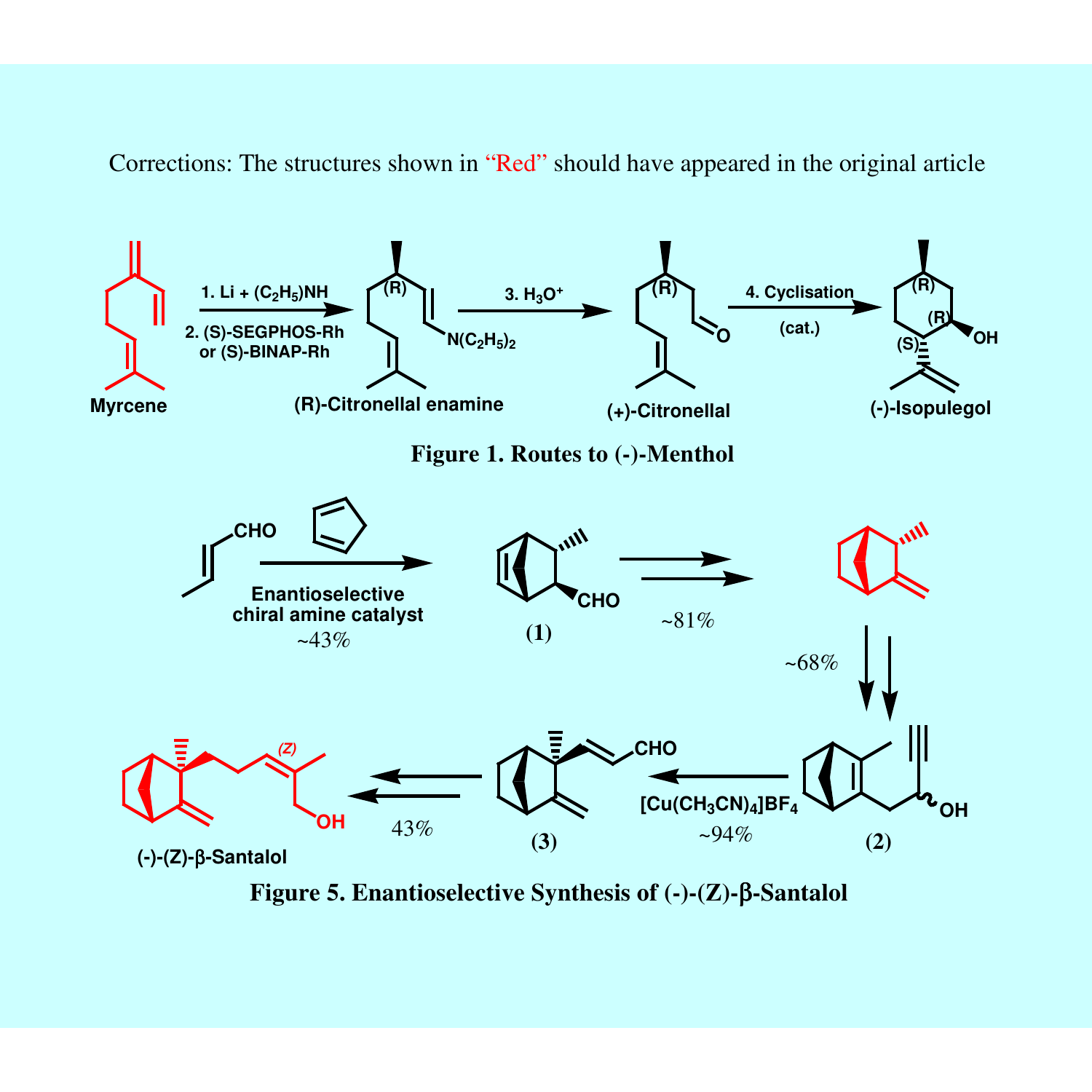Corrections: The structures shown in "Red" should have appeared in the original article



**Figure 5. Enantioselective Synthesis of (-)-(Z)-**β**-Santalol**